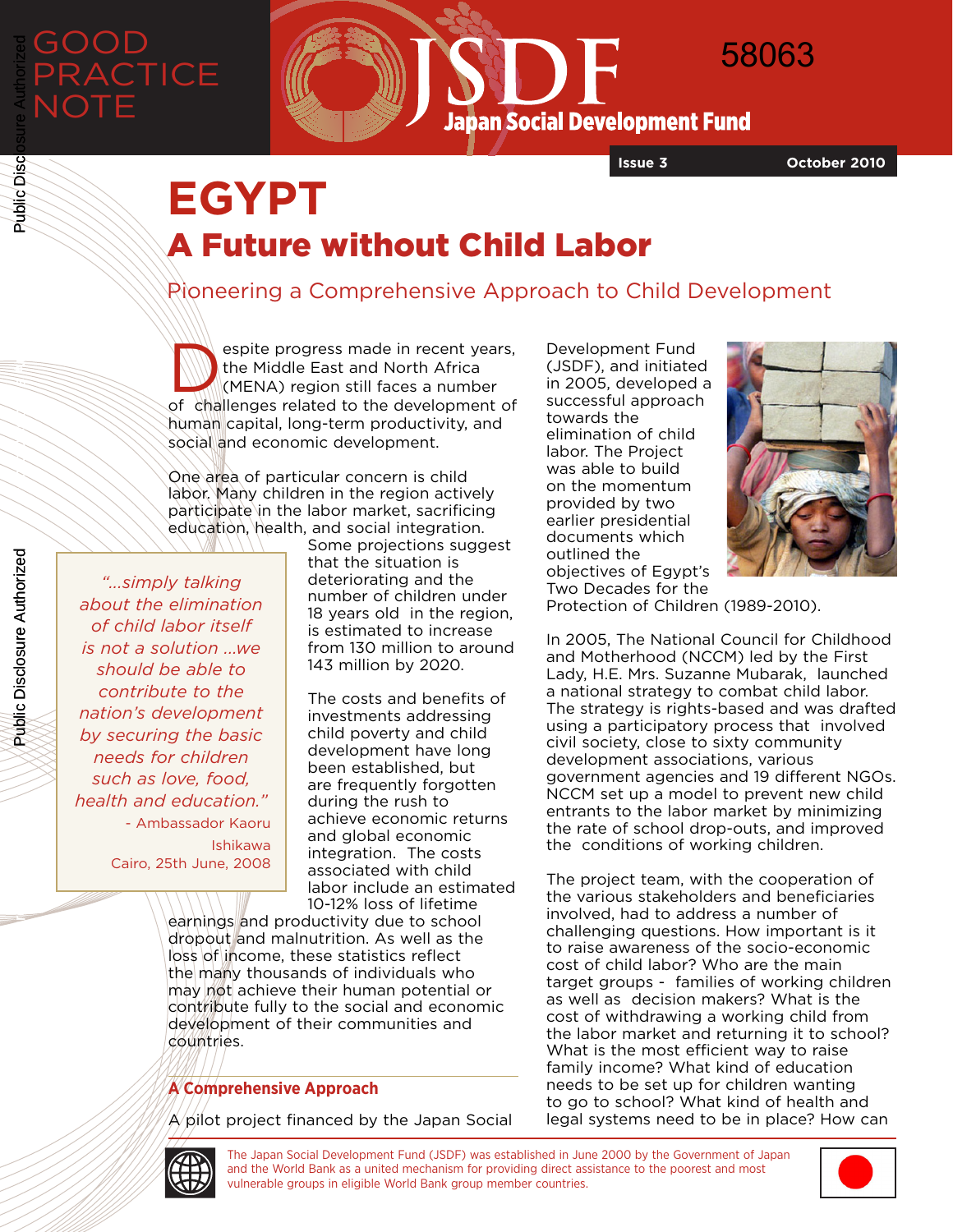# GOOD **RACTICE NOTE**

58063 $\mathbf{F}$ **Japan Social Development Fund** 

**Issue 3 October 2010**

# **EGYPT** A Future without Child Labor

### Pioneering a Comprehensive Approach to Child Development

espite progress made in recent years, the Middle East and North Africa (MENA) region still faces a number of challenges related to the development of human capital, long-term productivity, and social and economic development.

One area of particular concern is child labor. Many children in the region actively participate in the labor market, sacrificing education, health, and social integration.

*"...simply talking about the elimination of child labor itself is not a solution ...we should be able to contribute to the nation's development by securing the basic needs for children such as love, food, health and education."* - Ambassador Kaoru Ishikawa Cairo, 25th June, 2008

Some projections suggest that the situation is deteriorating and the number of children under 18 years old in the region, is estimated to increase from 130 million to around 143 million by 2020.

The costs and benefits of investments addressing child poverty and child development have long been established, but are frequently forgotten during the rush to achieve economic returns and global economic integration. The costs associated with child labor include an estimated 10-12% loss of lifetime

earnings and productivity due to school dropout and malnutrition. As well as the loss of income, these statistics reflect the many thousands of individuals who may not achieve their human potential or contribute fully to the social and economic development of their communities and countries.

#### **A Comprehensive Approach**

 $A$  pilot project financed by the Japan Social

Development Fund (JSDF), and initiated in 2005, developed a successful approach towards the elimination of child labor. The Project was able to build on the momentum provided by two earlier presidential documents which outlined the objectives of Egypt's Two Decades for the



Protection of Children (1989-2010).

In 2005, The National Council for Childhood and Motherhood (NCCM) led by the First Lady, H.E. Mrs. Suzanne Mubarak, launched a national strategy to combat child labor. The strategy is rights-based and was drafted using a participatory process that involved civil society, close to sixty community development associations, various government agencies and 19 different NGOs. NCCM set up a model to prevent new child entrants to the labor market by minimizing the rate of school drop-outs, and improved the conditions of working children.

The project team, with the cooperation of the various stakeholders and beneficiaries involved, had to address a number of challenging questions. How important is it to raise awareness of the socio-economic cost of child labor? Who are the main target groups - families of working children as well as decision makers? What is the cost of withdrawing a working child from the labor market and returning it to school? What is the most efficient way to raise family income? What kind of education needs to be set up for children wanting to go to school? What kind of health and legal systems need to be in place? How can

The Japan Social Development Fund (JSDF) was established in June 2000 by the Government of Japan and the World Bank as a united mechanism for providing direct assistance to the poorest and most vulnerable groups in eligible World Bank group member countries.



Public Disclosure Authorized

Public Disclosure Authorized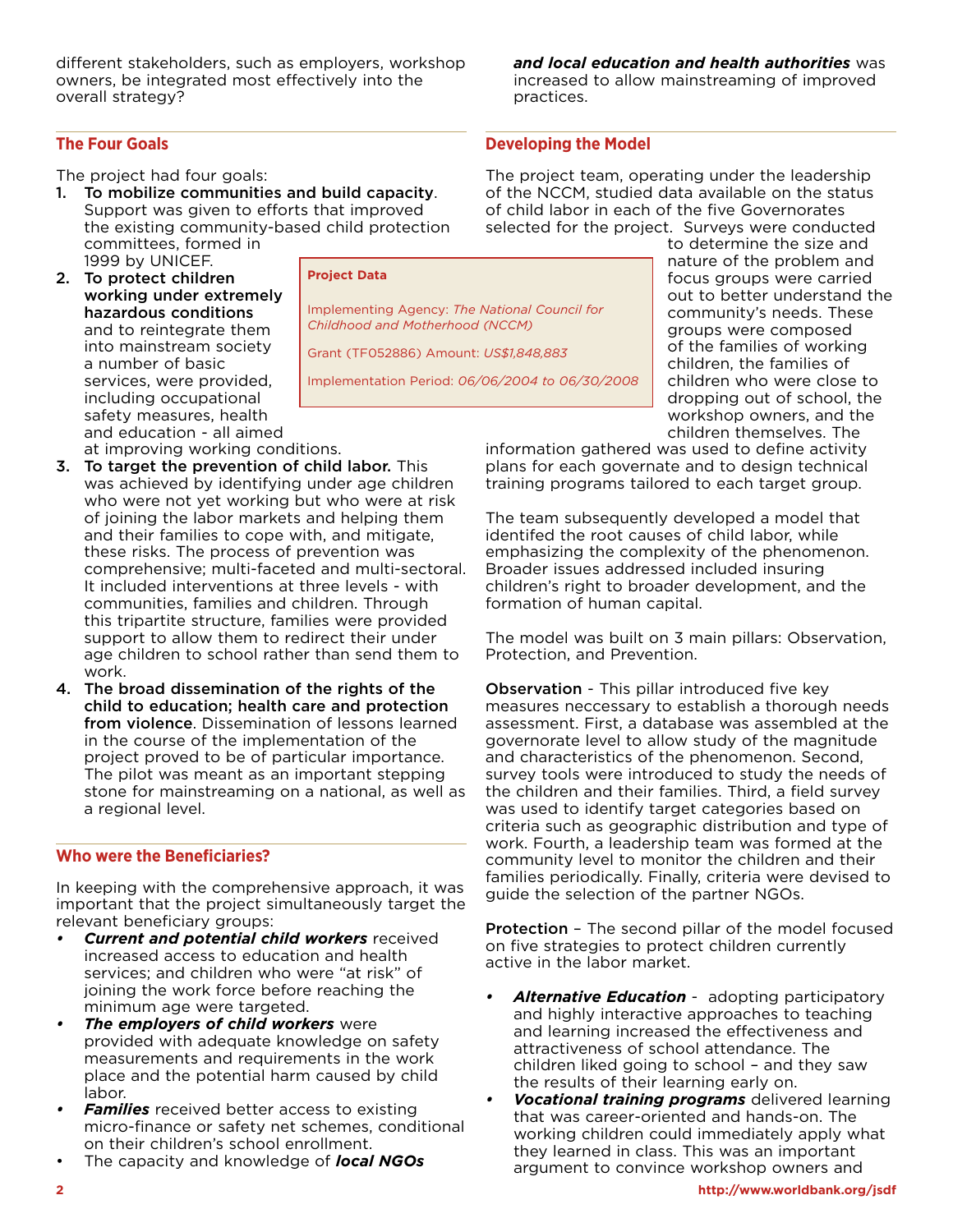different stakeholders, such as employers, workshop owners, be integrated most effectively into the overall strategy?

#### **The Four Goals**

The project had four goals:

1. To mobilize communities and build capacity. Support was given to efforts that improved the existing community-based child protection committees, formed in 1999 by UNICEF.

3. To target the prevention of child labor. This

4. The broad dissemination of the rights of the child to education; health care and protection from violence. Dissemination of lessons learned in the course of the implementation of the project proved to be of particular importance. The pilot was meant as an important stepping stone for mainstreaming on a national, as well as

was achieved by identifying under age children who were not yet working but who were at risk of joining the labor markets and helping them and their families to cope with, and mitigate, these risks. The process of prevention was comprehensive; multi-faceted and multi-sectoral. It included interventions at three levels - with communities, families and children. Through this tripartite structure, families were provided support to allow them to redirect their under age children to school rather than send them to

2. To protect children working under extremely hazardous conditions and to reintegrate them into mainstream society a number of basic services, were provided, including occupational safety measures, health and education - all aimed at improving working conditions.

**Project Data**

Implementing Agency: *The National Council for Childhood and Motherhood (NCCM)*

Grant (TF052886) Amount: *US\$1,848,883* 

Implementation Period: *06/06/2004 to 06/30/2008*

practices.

**Developing the Model** 

The project team, operating under the leadership of the NCCM, studied data available on the status of child labor in each of the five Governorates selected for the project. Surveys were conducted

*and local education and health authorities* was increased to allow mainstreaming of improved

> to determine the size and nature of the problem and focus groups were carried out to better understand the community's needs. These groups were composed of the families of working children, the families of children who were close to dropping out of school, the workshop owners, and the children themselves. The

information gathered was used to define activity plans for each governate and to design technical training programs tailored to each target group.

The team subsequently developed a model that identifed the root causes of child labor, while emphasizing the complexity of the phenomenon. Broader issues addressed included insuring children's right to broader development, and the formation of human capital.

The model was built on 3 main pillars: Observation, Protection, and Prevention.

Observation - This pillar introduced five key measures neccessary to establish a thorough needs assessment. First, a database was assembled at the governorate level to allow study of the magnitude and characteristics of the phenomenon. Second, survey tools were introduced to study the needs of the children and their families. Third, a field survey was used to identify target categories based on criteria such as geographic distribution and type of work. Fourth, a leadership team was formed at the community level to monitor the children and their families periodically. Finally, criteria were devised to guide the selection of the partner NGOs.

Protection – The second pillar of the model focused on five strategies to protect children currently active in the labor market.

- *• Alternative Education* adopting participatory and highly interactive approaches to teaching and learning increased the effectiveness and attractiveness of school attendance. The children liked going to school – and they saw the results of their learning early on.
- *Vocational training programs* delivered learning that was career-oriented and hands-on. The working children could immediately apply what they learned in class. This was an important argument to convince workshop owners and

## **Who were the Beneficiaries?**

a regional level.

work.

In keeping with the comprehensive approach, it was important that the project simultaneously target the relevant beneficiary groups:

- *Current and potential child workers* received increased access to education and health services; and children who were "at risk" of joining the work force before reaching the minimum age were targeted.
- *• The employers of child workers* were provided with adequate knowledge on safety measurements and requirements in the work place and the potential harm caused by child labor.
- *Families* received better access to existing micro-finance or safety net schemes, conditional on their children's school enrollment.
- The capacity and knowledge of *local NGOs*

**2 http://www.worldbank.org/jsdf**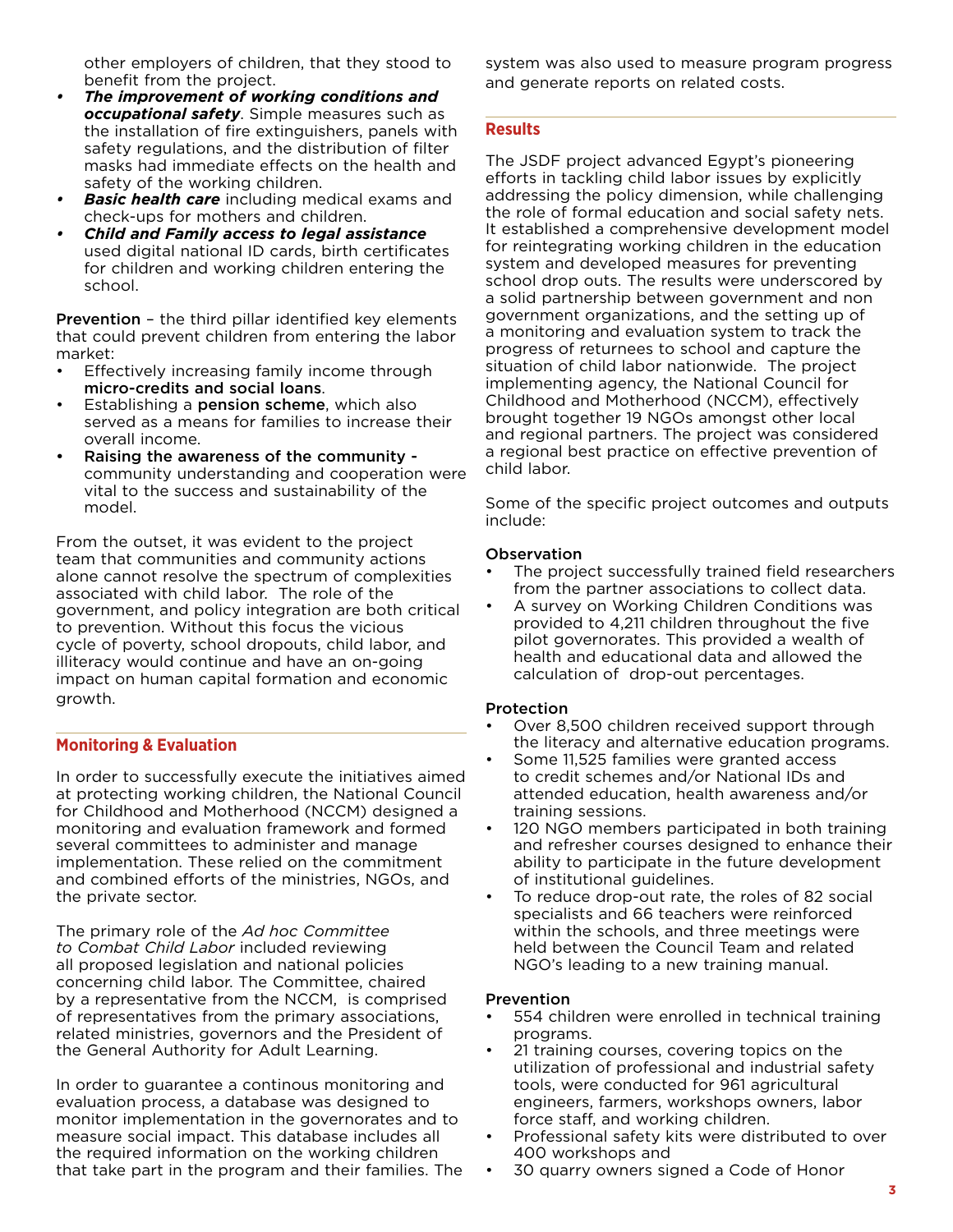other employers of children, that they stood to benefit from the project.

- *• The improvement of working conditions and occupational safety*. Simple measures such as the installation of fire extinguishers, panels with safety regulations, and the distribution of filter masks had immediate effects on the health and safety of the working children.
- *• Basic health care* including medical exams and check-ups for mothers and children.
- *• Child and Family access to legal assistance* used digital national ID cards, birth certificates for children and working children entering the school.

Prevention – the third pillar identified key elements that could prevent children from entering the labor market:

- Effectively increasing family income through micro-credits and social loans.
- Establishing a **pension scheme**, which also served as a means for families to increase their overall income.
- Raising the awareness of the community community understanding and cooperation were vital to the success and sustainability of the model.

From the outset, it was evident to the project team that communities and community actions alone cannot resolve the spectrum of complexities associated with child labor. The role of the government, and policy integration are both critical to prevention. Without this focus the vicious cycle of poverty, school dropouts, child labor, and illiteracy would continue and have an on-going impact on human capital formation and economic growth.

#### **Monitoring & Evaluation**

In order to successfully execute the initiatives aimed at protecting working children, the National Council for Childhood and Motherhood (NCCM) designed a monitoring and evaluation framework and formed several committees to administer and manage implementation. These relied on the commitment and combined efforts of the ministries, NGOs, and the private sector.

The primary role of the *Ad hoc Committee to Combat Child Labor* included reviewing all proposed legislation and national policies concerning child labor. The Committee, chaired by a representative from the NCCM, is comprised of representatives from the primary associations, related ministries, governors and the President of the General Authority for Adult Learning.

In order to guarantee a continous monitoring and evaluation process, a database was designed to monitor implementation in the governorates and to measure social impact. This database includes all the required information on the working children that take part in the program and their families. The system was also used to measure program progress and generate reports on related costs.

#### **Results**

The JSDF project advanced Egypt's pioneering efforts in tackling child labor issues by explicitly addressing the policy dimension, while challenging the role of formal education and social safety nets. It established a comprehensive development model for reintegrating working children in the education system and developed measures for preventing school drop outs. The results were underscored by a solid partnership between government and non government organizations, and the setting up of a monitoring and evaluation system to track the progress of returnees to school and capture the situation of child labor nationwide. The project implementing agency, the National Council for Childhood and Motherhood (NCCM), effectively brought together 19 NGOs amongst other local and regional partners. The project was considered a regional best practice on effective prevention of child labor.

Some of the specific project outcomes and outputs include:

#### **Observation**

- The project successfully trained field researchers from the partner associations to collect data.
- A survey on Working Children Conditions was provided to 4,211 children throughout the five pilot governorates. This provided a wealth of health and educational data and allowed the calculation of drop-out percentages.

#### Protection

- Over 8,500 children received support through the literacy and alternative education programs.
- Some 11,525 families were granted access to credit schemes and/or National IDs and attended education, health awareness and/or training sessions.
- 120 NGO members participated in both training and refresher courses designed to enhance their ability to participate in the future development of institutional guidelines.
- To reduce drop-out rate, the roles of 82 social specialists and 66 teachers were reinforced within the schools, and three meetings were held between the Council Team and related NGO's leading to a new training manual.

#### Prevention

- 554 children were enrolled in technical training programs.
- 21 training courses, covering topics on the utilization of professional and industrial safety tools, were conducted for 961 agricultural engineers, farmers, workshops owners, labor force staff, and working children.
- Professional safety kits were distributed to over 400 workshops and
- 30 quarry owners signed a Code of Honor